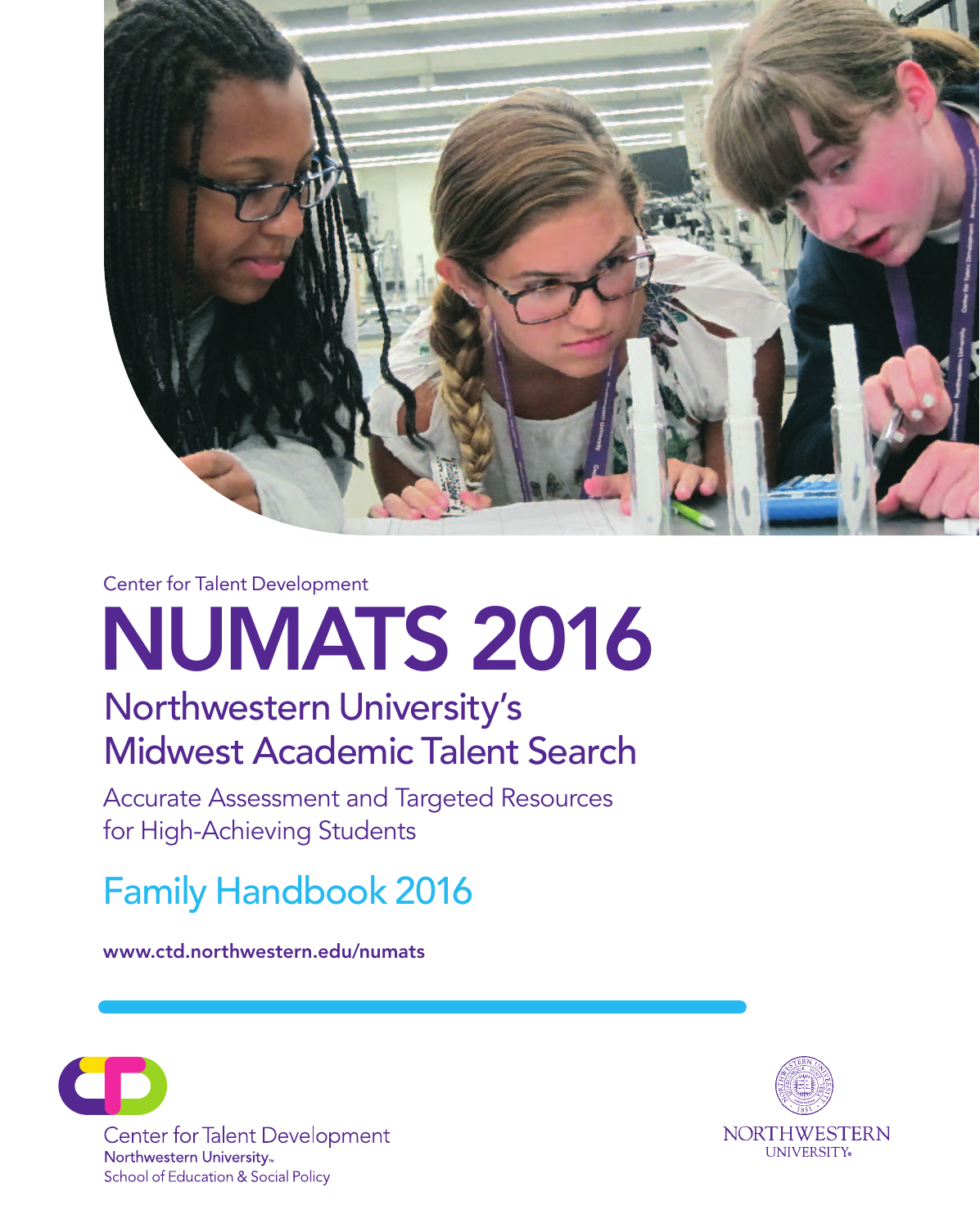

Center for Talent Development

# NUMATS 2016

## Northwestern University's Midwest Academic Talent Search

Accurate Assessment and Targeted Resources for High-Achieving Students

Family Handbook 2016

www.ctd.northwestern.edu/numats



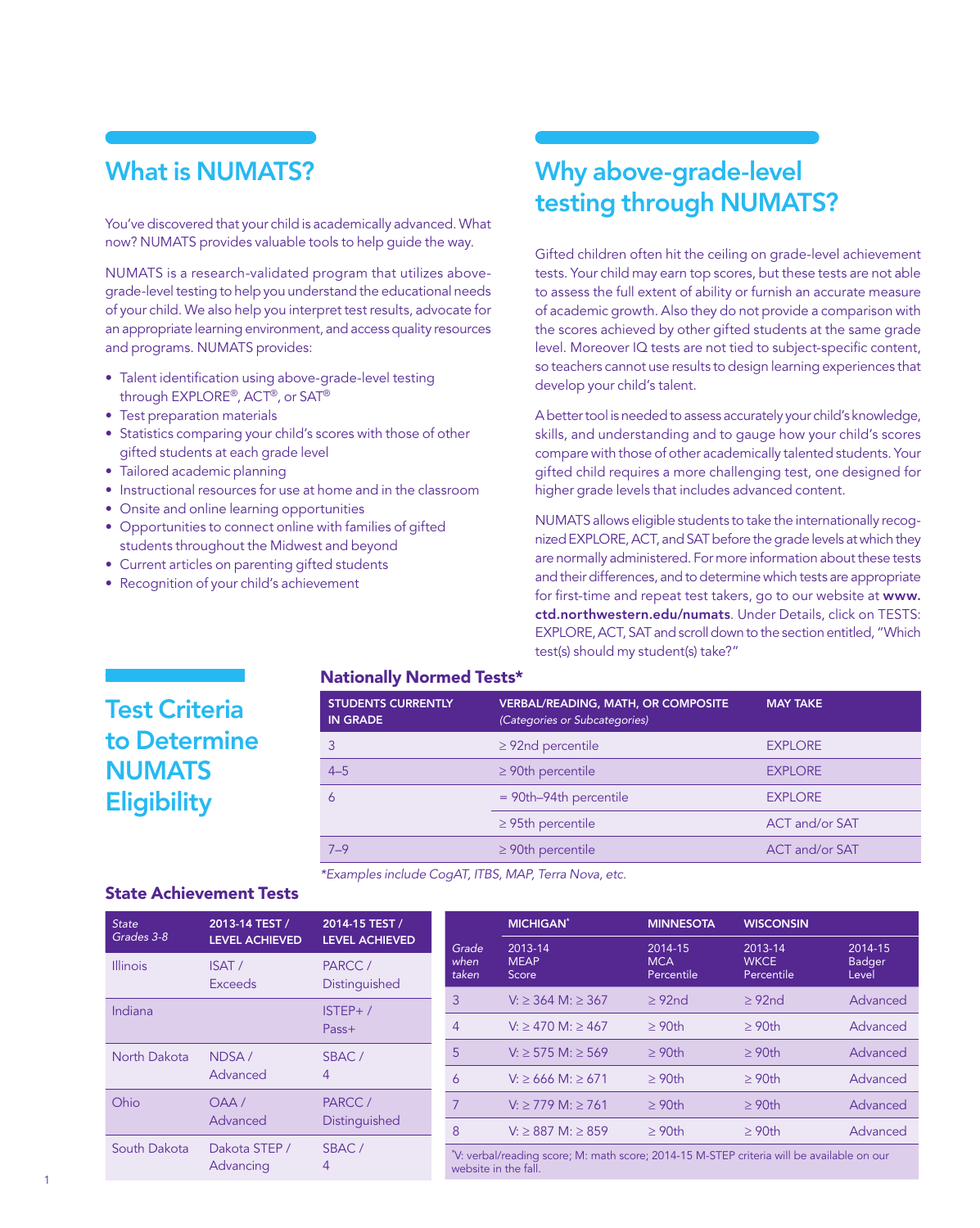### What is NUMATS?

You've discovered that your child is academically advanced. What now? NUMATS provides valuable tools to help guide the way.

NUMATS is a research-validated program that utilizes abovegrade-level testing to help you understand the educational needs of your child. We also help you interpret test results, advocate for an appropriate learning environment, and access quality resources and programs. NUMATS provides:

- Talent identification using above-grade-level testing through EXPLORE®, ACT®, or SAT®
- Test preparation materials
- Statistics comparing your child's scores with those of other gifted students at each grade level
- Tailored academic planning
- Instructional resources for use at home and in the classroom
- Onsite and online learning opportunities
- Opportunities to connect online with families of gifted students throughout the Midwest and beyond
- Current articles on parenting gifted students
- Recognition of your child's achievement

## Why above-grade-level testing through NUMATS?

Gifted children often hit the ceiling on grade-level achievement tests. Your child may earn top scores, but these tests are not able to assess the full extent of ability or furnish an accurate measure of academic growth. Also they do not provide a comparison with the scores achieved by other gifted students at the same grade level. Moreover IQ tests are not tied to subject-specific content, so teachers cannot use results to design learning experiences that develop your child's talent.

A better tool is needed to assess accurately your child's knowledge, skills, and understanding and to gauge how your child's scores compare with those of other academically talented students. Your gifted child requires a more challenging test, one designed for higher grade levels that includes advanced content.

NUMATS allows eligible students to take the internationally recognized EXPLORE, ACT, and SAT before the grade levels at which they are normally administered. For more information about these tests and their differences, and to determine which tests are appropriate for first-time and repeat test takers, go to our website at [www.](http://www.ctd.northwestern.edu/numats) [ctd.northwestern.edu/numats](http://www.ctd.northwestern.edu/numats). Under Details, click on TESTS: EXPLORE, ACT, SAT and scroll down to the section entitled, "Which test(s) should my student(s) take?"

#### Nationally Normed Tests\*

| <b>STUDENTS CURRENTLY</b><br><b>IN GRADE</b> | <b>VERBAL/READING, MATH, OR COMPOSITE</b><br>(Categories or Subcategories) | <b>MAY TAKE</b>       |
|----------------------------------------------|----------------------------------------------------------------------------|-----------------------|
|                                              | $\geq$ 92nd percentile                                                     | <b>EXPLORE</b>        |
| $4 - 5$                                      | $\geq$ 90th percentile                                                     | <b>EXPLORE</b>        |
| 6                                            | $=$ 90th-94th percentile                                                   | <b>EXPLORE</b>        |
|                                              | $\geq$ 95th percentile                                                     | <b>ACT and/or SAT</b> |
| $7 - 9$                                      | $\geq$ 90th percentile                                                     | ACT and/or SAT        |

*\*Examples include CogAT, ITBS, MAP, Terra Nova, etc.*

#### State Achievement Tests

Test Criteria

**NUMATS** 

**Eligibility** 

to Determine

| <b>State</b>                               | 2013-14 TEST /          | 2014-15 TEST /          |                       | <b>MICHIGAN</b> *<br><b>MINNESOTA</b><br><b>WISCONSIN</b>                                                         |                          |                           |                 |
|--------------------------------------------|-------------------------|-------------------------|-----------------------|-------------------------------------------------------------------------------------------------------------------|--------------------------|---------------------------|-----------------|
| Grades 3-8                                 | <b>LEVEL ACHIEVED</b>   | <b>LEVEL ACHIEVED</b>   | Grade                 | 2013-14                                                                                                           | 2014-15                  | 2013-14                   | 2014-15         |
| <b>Illinois</b>                            | ISAT/<br><b>Exceeds</b> | PARCC/<br>Distinguished | when<br>taken         | <b>MEAP</b><br>Score                                                                                              | <b>MCA</b><br>Percentile | <b>WKCE</b><br>Percentile | Badger<br>Level |
| Indiana                                    | $ISTEP+ /$<br>Pass+     | 3                       | $V: > 364$ M: $> 367$ | >92 <sub>nd</sub>                                                                                                 | >92 <sub>nd</sub>        | Advanced                  |                 |
|                                            |                         | 4                       | $V:$ > 470 M: > 467   | >90 <sub>th</sub>                                                                                                 | >90 <sub>th</sub>        | Advanced                  |                 |
| North Dakota<br>NDSA/<br>Advanced          | SBAC/<br>$\overline{4}$ | 5                       | $V:$ > 575 M: > 569   | >90 <sub>th</sub>                                                                                                 | >90 <sub>th</sub>        | Advanced                  |                 |
|                                            |                         | 6                       | $V: > 666$ M: $> 671$ | >90 <sub>th</sub>                                                                                                 | >90 <sub>th</sub>        | Advanced                  |                 |
| Ohio                                       | OAA/                    | PARCC/                  | 7                     | $V:$ > 779 M: $\geq$ 761                                                                                          | >90 <sub>th</sub>        | >90 <sub>th</sub>         | Advanced        |
| Advanced                                   | Distinguished           | 8                       | $V:$ > 887 M: > 859   | >90 <sub>th</sub>                                                                                                 | >90 <sub>th</sub>        | Advanced                  |                 |
| South Dakota<br>Dakota STEP /<br>Advancing |                         | SBAC/<br>$\overline{4}$ |                       | *V: verbal/reading score; M: math score; 2014-15 M-STEP criteria will be available on our<br>website in the fall. |                          |                           |                 |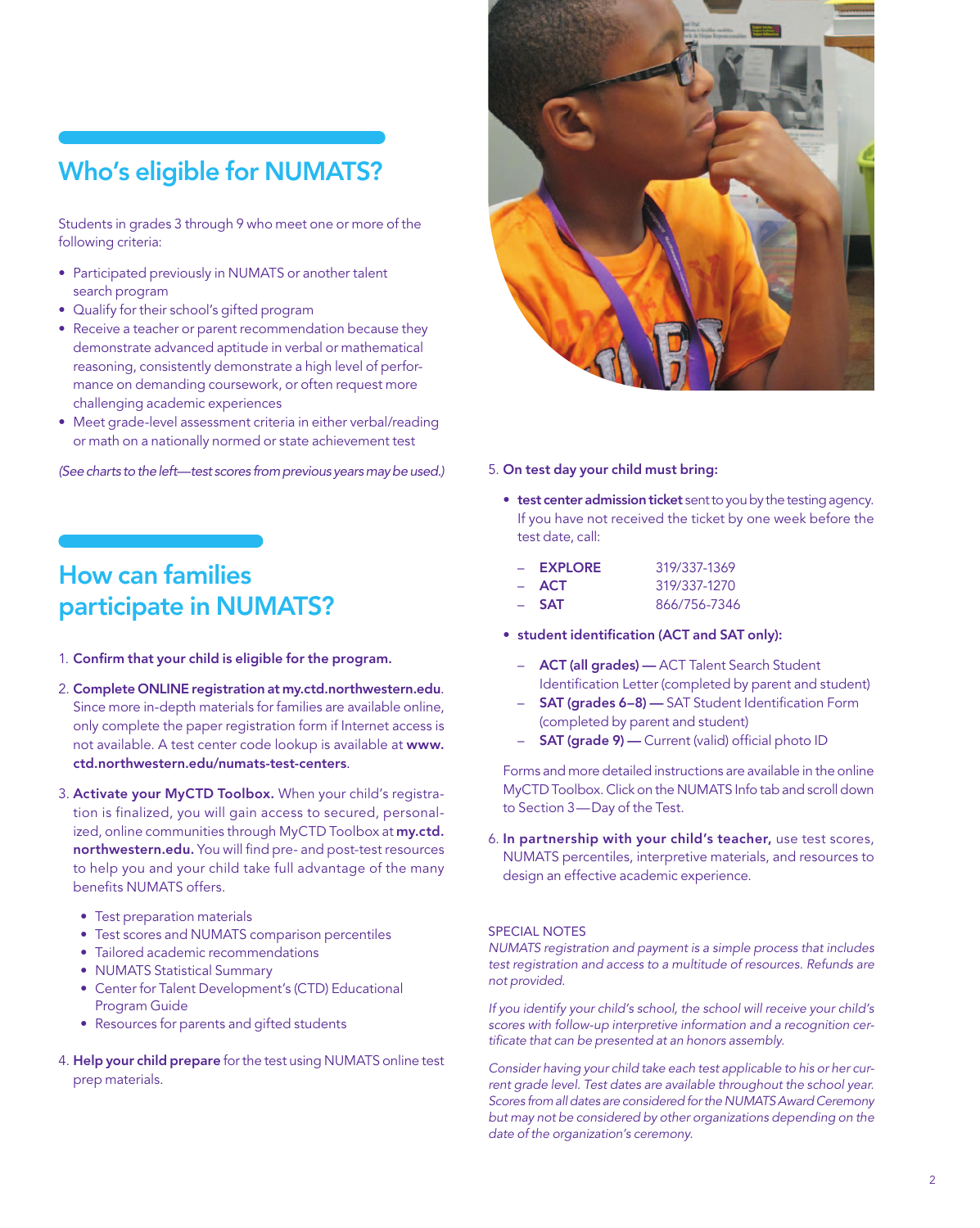## Who's eligible for NUMATS?

Students in grades 3 through 9 who meet one or more of the following criteria:

- Participated previously in NUMATS or another talent search program
- • Qualify for their school's gifted program
- Receive a teacher or parent recommendation because they demonstrate advanced aptitude in verbal or mathematical reasoning, consistently demonstrate a high level of performance on demanding coursework, or often request more challenging academic experiences
- Meet grade-level assessment criteria in either verbal/reading or math on a nationally normed or state achievement test

*(See charts to the left—test scores from previous years may be used.)*

## How can families participate in NUMATS?

- 1. Confirm that your child is eligible for the program.
- 2. Complete ONLINE registration at<my.ctd.northwestern.edu>. Since more in-depth materials for families are available online, only complete the paper registration form if Internet access is not available. A test center code lookup is available at [www.](www.ctd.northwestern.edu/numats-test-centers) [ctd.northwestern.edu/numats-test-centers](www.ctd.northwestern.edu/numats-test-centers).
- 3. Activate your MyCTD Toolbox. When your child's registration is finalized, you will gain access to secured, personalized, online communities through MyCTD Toolbox at [my.ctd.](my.ctd.northwestern.edu) [northwestern.edu](my.ctd.northwestern.edu). You will find pre- and post-test resources to help you and your child take full advantage of the many benefits NUMATS offers.
	- Test preparation materials
	- Test scores and NUMATS comparison percentiles
	- Tailored academic recommendations
	- NUMATS Statistical Summary
	- Center for Talent Development's (CTD) Educational Program Guide
	- Resources for parents and gifted students
- 4. Help your child prepare for the test using NUMATS online test prep materials.



#### 5. On test day your child must bring:

**• test center admission ticket** sent to you by the testing agency. If you have not received the ticket by one week before the test date, call:

| - EXPLORE | 319/337-1369 |
|-----------|--------------|
| – ACT     | 319/337-1270 |
| $-$ SAT   | 866/756-7346 |

- student identification (ACT and SAT only):
	- ACT (all grades) ACT Talent Search Student Identification Letter (completed by parent and student)
	- **SAT (grades 6–8) SAT Student Identification Form** (completed by parent and student)
	- **SAT (grade 9)** Current (valid) official photo ID

Forms and more detailed instructions are available in the online MyCTD Toolbox. Click on the NUMATS Info tab and scroll down to Section 3—Day of the Test.

6. In partnership with your child's teacher, use test scores, NUMATS percentiles, interpretive materials, and resources to design an effective academic experience.

#### SPECIAL NOTES

*NUMATS registration and payment is a simple process that includes test registration and access to a multitude of resources. Refunds are not provided.*

*If you identify your child's school, the school will receive your child's scores with follow-up interpretive information and a recognition certificate that can be presented at an honors assembly.*

*Consider having your child take each test applicable to his or her current grade level. Test dates are available throughout the school year. Scores from all dates are considered for the NUMATS Award Ceremony but may not be considered by other organizations depending on the date of the organization's ceremony.*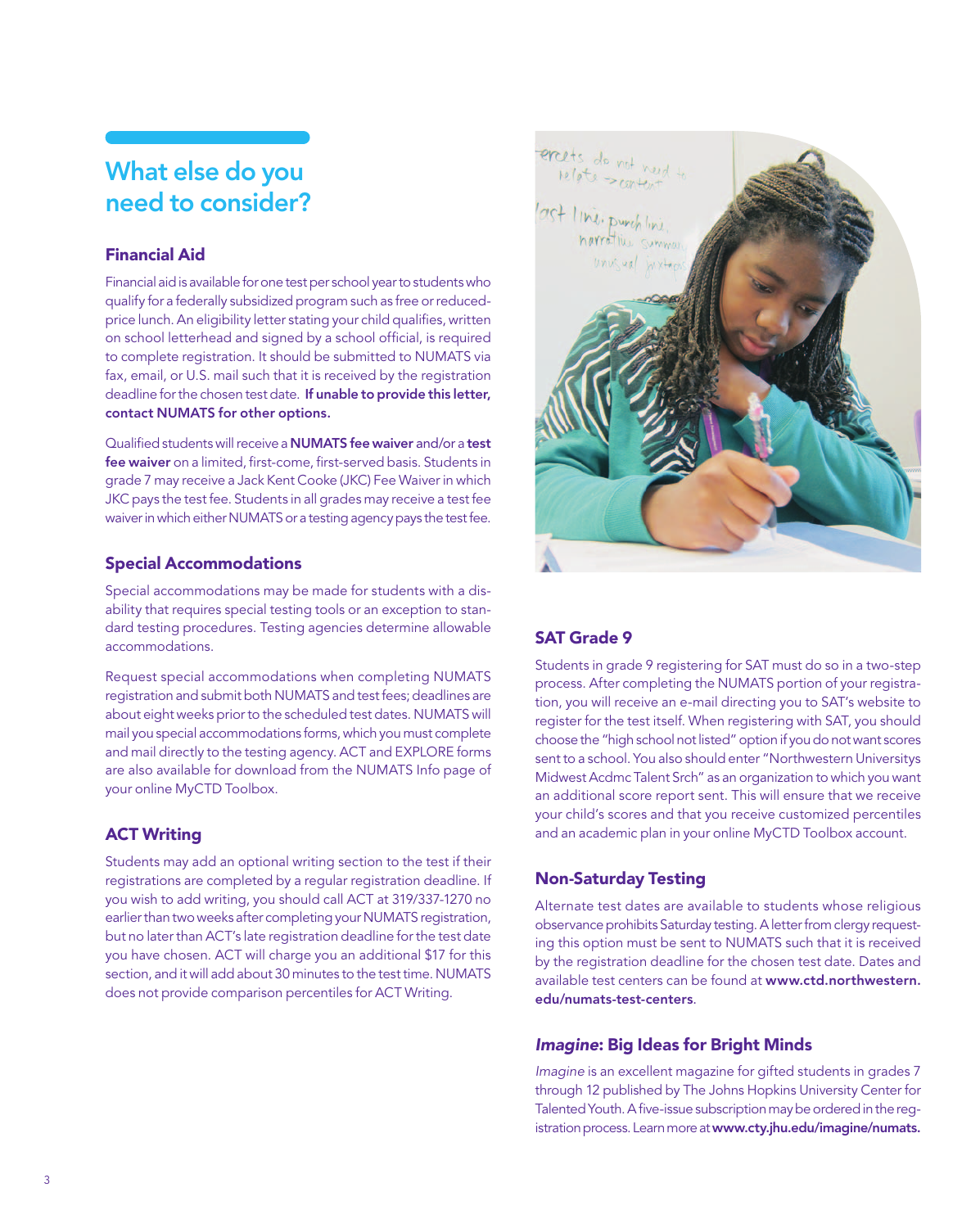## What else do you need to consider?

#### Financial Aid

Financial aid is available for one test per school year to students who qualify for a federally subsidized program such as free or reducedprice lunch. An eligibility letter stating your child qualifies, written on school letterhead and signed by a school official, is required to complete registration. It should be submitted to NUMATS via fax, email, or U.S. mail such that it is received by the registration deadline for the chosen test date. If unable to provide this letter, contact NUMATS for other options.

Qualified students will receive a NUMATS fee waiver and/or a test fee waiver on a limited, first-come, first-served basis. Students in grade 7 may receive a Jack Kent Cooke (JKC) Fee Waiver in which JKC pays the test fee. Students in all grades may receive a test fee waiver in which either NUMATS or a testing agency pays the test fee.

#### Special Accommodations

Special accommodations may be made for students with a disability that requires special testing tools or an exception to standard testing procedures. Testing agencies determine allowable accommodations.

Request special accommodations when completing NUMATS registration and submit both NUMATS and test fees; deadlines are about eight weeks prior to the scheduled test dates. NUMATS will mail you special accommodations forms, which you must complete and mail directly to the testing agency. ACT and EXPLORE forms are also available for download from the NUMATS Info page of your online MyCTD Toolbox.

#### ACT Writing

Students may add an optional writing section to the test if their registrations are completed by a regular registration deadline. If you wish to add writing, you should call ACT at 319/337-1270 no earlier than two weeks after completing your NUMATS registration, but no later than ACT's late registration deadline for the test date you have chosen. ACT will charge you an additional \$17 for this section, and it will add about 30 minutes to the test time. NUMATS does not provide comparison percentiles for ACT Writing.



#### SAT Grade 9

Students in grade 9 registering for SAT must do so in a two-step process. After completing the NUMATS portion of your registration, you will receive an e-mail directing you to SAT's website to register for the test itself. When registering with SAT, you should choose the "high school not listed" option if you do not want scores sent to a school. You also should enter "Northwestern Universitys Midwest Acdmc Talent Srch" as an organization to which you want an additional score report sent. This will ensure that we receive your child's scores and that you receive customized percentiles and an academic plan in your online MyCTD Toolbox account.

#### Non-Saturday Testing

Alternate test dates are available to students whose religious observance prohibits Saturday testing. A letter from clergy requesting this option must be sent to NUMATS such that it is received by the registration deadline for the chosen test date. Dates and available test centers can be found at [www.ctd.northwestern.](www.ctd.northwestern.edu/numats-test-centers) [edu/numats-test-centers](www.ctd.northwestern.edu/numats-test-centers).

#### *Imagine*: Big Ideas for Bright Minds

*Imagine* is an excellent magazine for gifted students in grades 7 through 12 published by The Johns Hopkins University Center for Talented Youth. A five-issue subscription may be ordered in the registration process. Learn more at www.cty.jhu.edu/imagine/numats.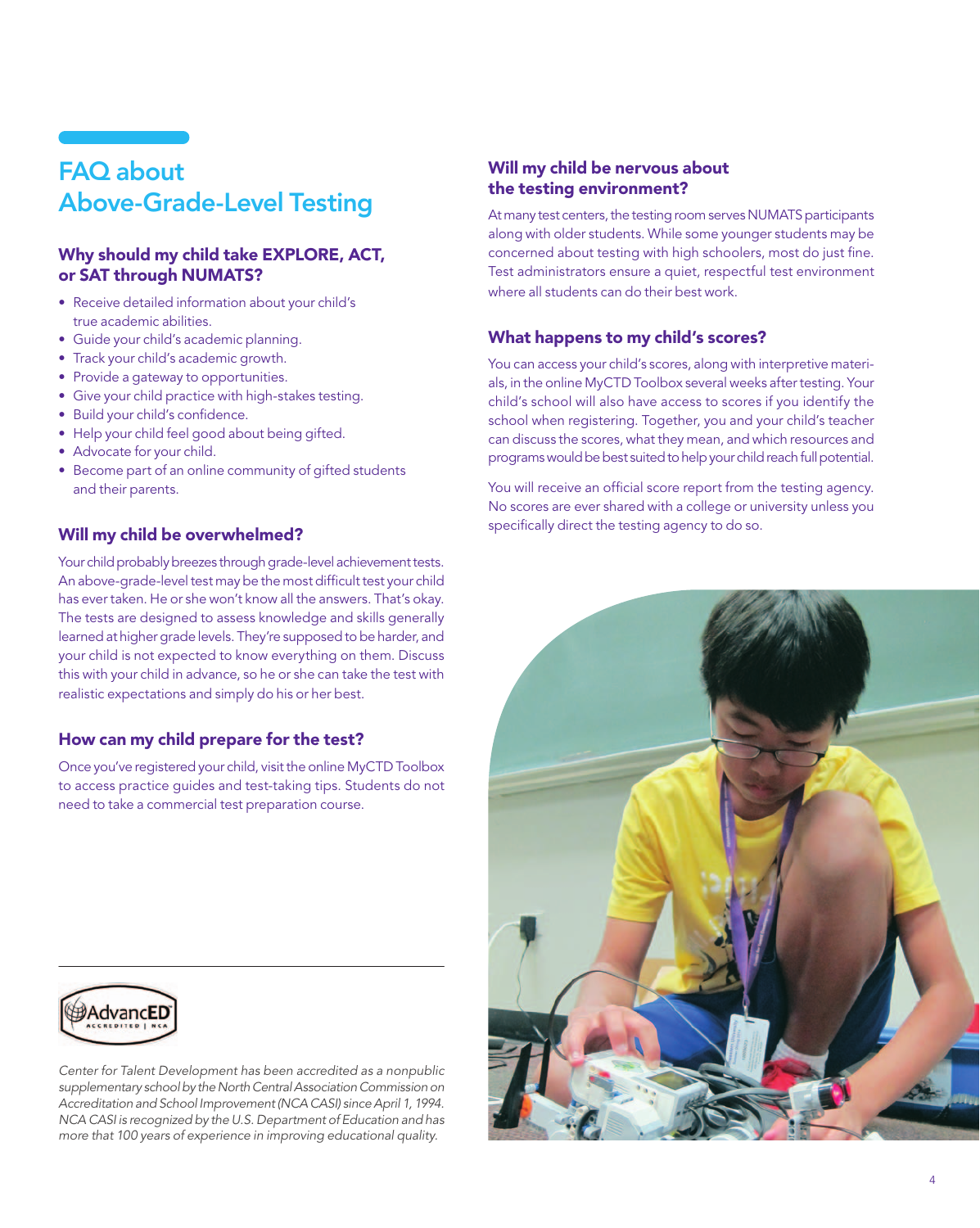## FAQ about Above-Grade-Level Testing

#### Why should my child take EXPLORE, ACT, or SAT through NUMATS?

- Receive detailed information about your child's true academic abilities.
- • Guide your child's academic planning.
- Track your child's academic growth.
- Provide a gateway to opportunities.
- Give your child practice with high-stakes testing.
- Build your child's confidence.
- Help your child feel good about being gifted.
- Advocate for your child.
- Become part of an online community of gifted students and their parents.

#### Will my child be overwhelmed?

Your child probably breezes through grade-level achievement tests. An above-grade-level test may be the most difficult test your child has ever taken. He or she won't know all the answers. That's okay. The tests are designed to assess knowledge and skills generally learned at higher grade levels. They're supposed to be harder, and your child is not expected to know everything on them. Discuss this with your child in advance, so he or she can take the test with realistic expectations and simply do his or her best.

#### How can my child prepare for the test?

Once you've registered your child, visit the online MyCTD Toolbox to access practice guides and test-taking tips. Students do not need to take a commercial test preparation course.

#### Will my child be nervous about the testing environment?

At many test centers, the testing room serves NUMATS participants along with older students. While some younger students may be concerned about testing with high schoolers, most do just fine. Test administrators ensure a quiet, respectful test environment where all students can do their best work.

#### What happens to my child's scores?

You can access your child's scores, along with interpretive materials, in the online MyCTD Toolbox several weeks after testing. Your child's school will also have access to scores if you identify the school when registering. Together, you and your child's teacher can discuss the scores, what they mean, and which resources and programs would be best suited to help your child reach full potential.

You will receive an official score report from the testing agency. No scores are ever shared with a college or university unless you specifically direct the testing agency to do so.





*Center for Talent Development has been accredited as a nonpublic supplementary school by the North Central Association Commission on Accreditation and School Improvement (NCA CASI) since April 1, 1994. NCA CASI is recognized by the U.S. Department of Education and has more that 100 years of experience in improving educational quality.*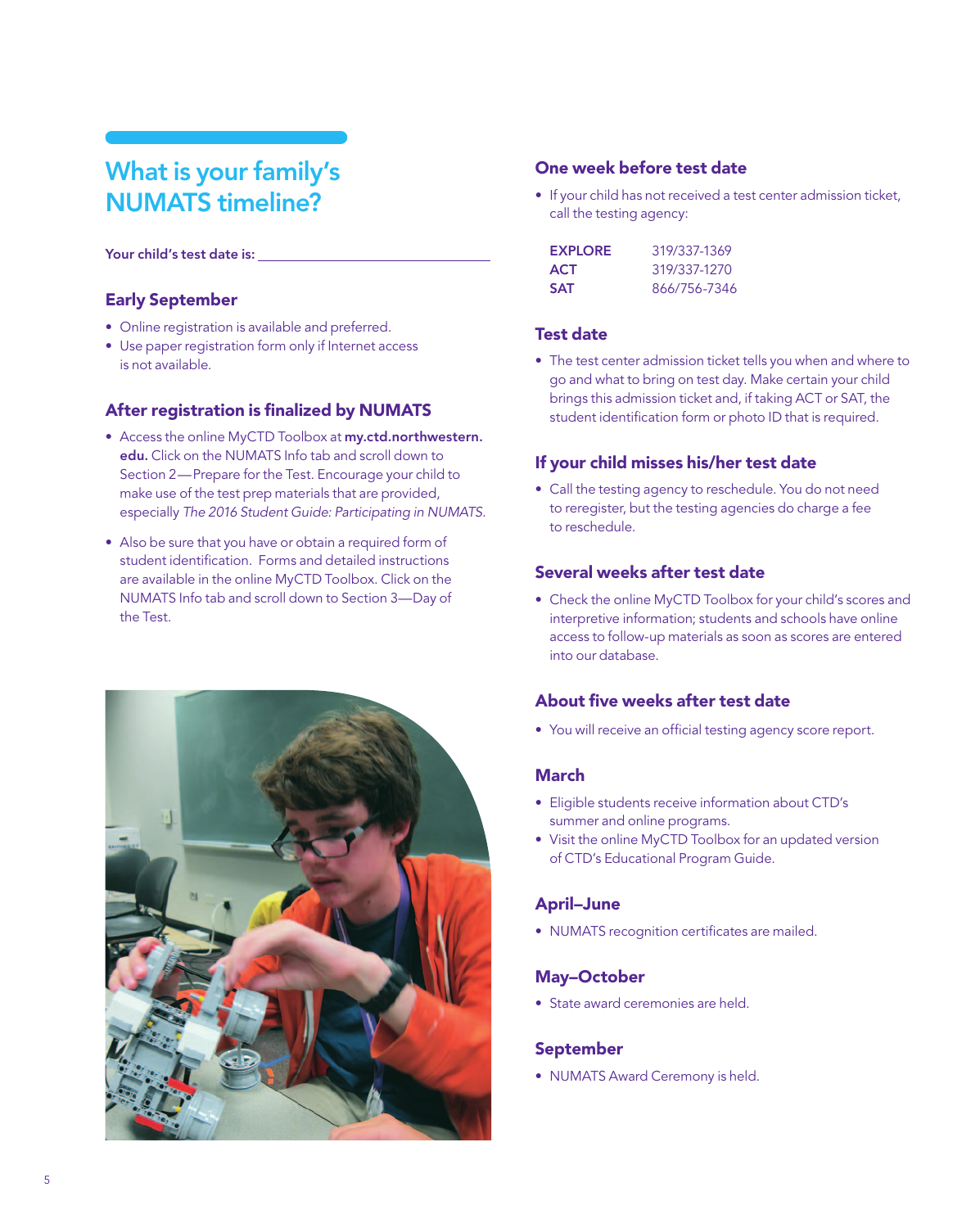## What is your family's NUMATS timeline?

#### Your child's test date is:

#### Early September

- Online registration is available and preferred.
- Use paper registration form only if Internet access is not available.

#### After registration is finalized by NUMATS

- Access the online MyCTD Toolbox at [my.ctd.northwestern.](http://my.ctd.northwestern.edu) [edu.](http://my.ctd.northwestern.edu) Click on the NUMATS Info tab and scroll down to Section 2—Prepare for the Test. Encourage your child to make use of the test prep materials that are provided, especially *The 2016 Student Guide: Participating in NUMATS.*
- Also be sure that you have or obtain a required form of student identification. Forms and detailed instructions are available in the online MyCTD Toolbox. Click on the NUMATS Info tab and scroll down to Section 3—Day of the Test.



#### One week before test date

• If your child has not received a test center admission ticket, call the testing agency:

| <b>EXPLORE</b> | 319/337-1369 |
|----------------|--------------|
| <b>ACT</b>     | 319/337-1270 |
| <b>SAT</b>     | 866/756-7346 |

#### Test date

• The test center admission ticket tells you when and where to go and what to bring on test day. Make certain your child brings this admission ticket and, if taking ACT or SAT, the student identification form or photo ID that is required.

#### If your child misses his/her test date

• Call the testing agency to reschedule. You do not need to reregister, but the testing agencies do charge a fee to reschedule.

#### Several weeks after test date

• Check the online MyCTD Toolbox for your child's scores and interpretive information; students and schools have online access to follow-up materials as soon as scores are entered into our database.

#### About five weeks after test date

• You will receive an official testing agency score report.

#### March

- • Eligible students receive information about CTD's summer and online programs.
- Visit the online MyCTD Toolbox for an updated version of CTD's Educational Program Guide.

#### April–June

• NUMATS recognition certificates are mailed.

#### May–October

• State award ceremonies are held.

#### September

• NUMATS Award Ceremony is held.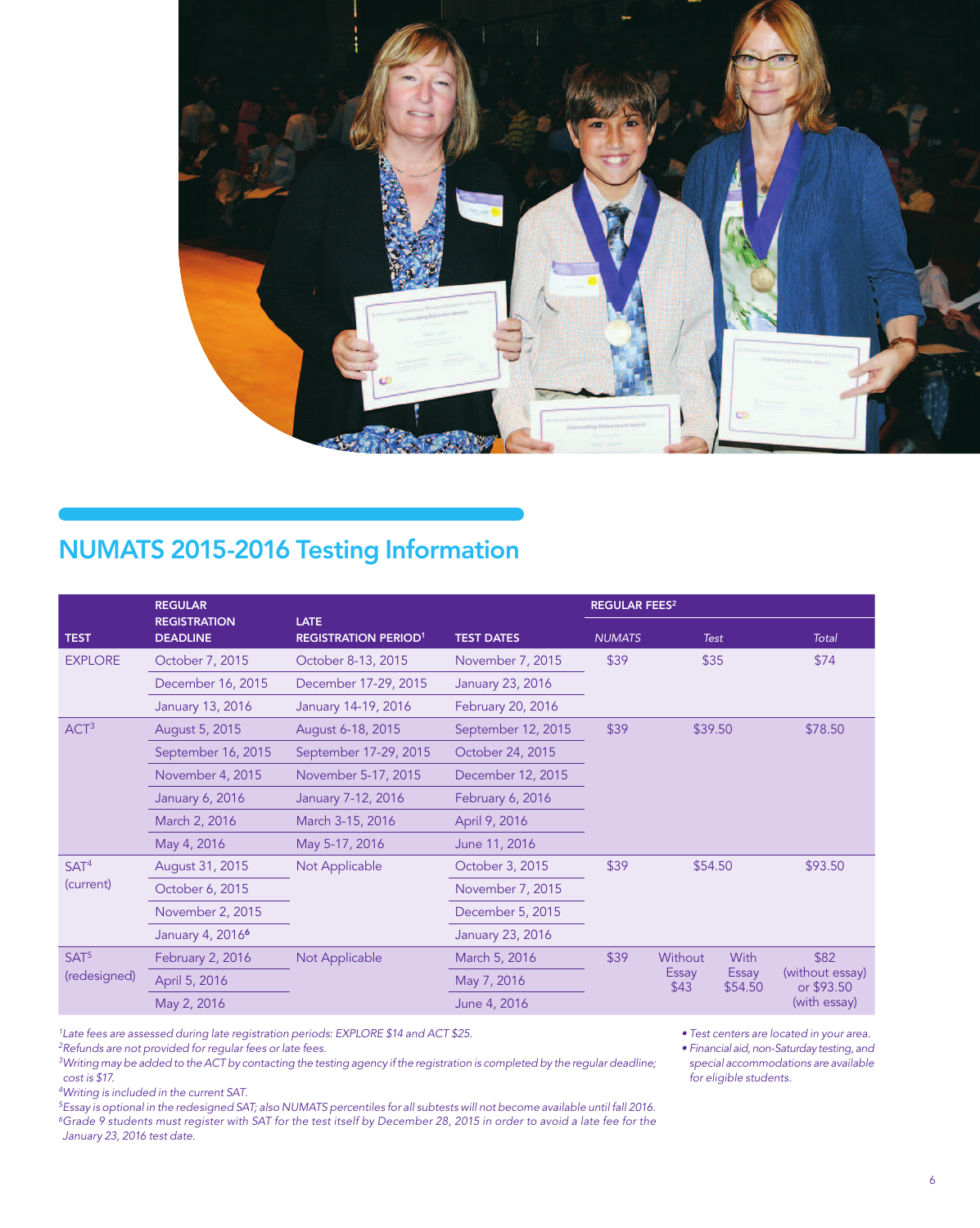

## NUMATS 2015-2016 Testing Information

|                                  | <b>REGULAR</b>                         |                                            |                    | <b>REGULAR FEES<sup>2</sup></b> |                          |                          |                                       |
|----------------------------------|----------------------------------------|--------------------------------------------|--------------------|---------------------------------|--------------------------|--------------------------|---------------------------------------|
| <b>TEST</b>                      | <b>REGISTRATION</b><br><b>DEADLINE</b> | <b>LATE</b><br><b>REGISTRATION PERIOD1</b> | <b>TEST DATES</b>  | <b>NUMATS</b>                   | <b>Test</b>              |                          | Total                                 |
| <b>EXPLORE</b>                   | October 7, 2015                        | October 8-13, 2015                         | November 7, 2015   | \$39                            |                          | \$35                     | \$74                                  |
|                                  | December 16, 2015                      | December 17-29, 2015                       | January 23, 2016   |                                 |                          |                          |                                       |
|                                  | January 13, 2016                       | January 14-19, 2016                        | February 20, 2016  |                                 |                          |                          |                                       |
| ACT <sup>3</sup>                 | August 5, 2015                         | August 6-18, 2015                          | September 12, 2015 | \$39                            | \$39.50                  |                          | \$78.50                               |
|                                  | September 16, 2015                     | September 17-29, 2015                      | October 24, 2015   |                                 |                          |                          |                                       |
|                                  | November 4, 2015                       | November 5-17, 2015                        | December 12, 2015  |                                 |                          |                          |                                       |
|                                  | January 6, 2016                        | January 7-12, 2016                         | February 6, 2016   |                                 |                          |                          |                                       |
|                                  | March 2, 2016                          | March 3-15, 2016                           | April 9, 2016      |                                 |                          |                          |                                       |
|                                  | May 4, 2016                            | May 5-17, 2016                             | June 11, 2016      |                                 |                          |                          |                                       |
| SAT <sup>4</sup><br>(current)    | August 31, 2015                        | Not Applicable                             | October 3, 2015    | \$39                            |                          | \$54.50<br>\$93.50       |                                       |
|                                  | October 6, 2015                        |                                            | November 7, 2015   |                                 |                          |                          |                                       |
|                                  | November 2, 2015                       |                                            | December 5, 2015   |                                 |                          |                          |                                       |
|                                  | January 4, 2016 <sup>6</sup>           |                                            | January 23, 2016   |                                 |                          |                          |                                       |
| SAT <sup>5</sup><br>(redesigned) | February 2, 2016                       | Not Applicable                             | March 5, 2016      | \$39                            | Without<br>Essay<br>\$43 | With<br>Essay<br>\$54.50 | \$82<br>(without essay)<br>or \$93.50 |
|                                  | April 5, 2016                          |                                            | May 7, 2016        |                                 |                          |                          |                                       |
|                                  | May 2, 2016                            |                                            | June 4, 2016       |                                 |                          |                          | (with essay)                          |

*1Late fees are assessed during late registration periods: EXPLORE \$14 and ACT \$25.*

*2Refunds are not provided for regular fees or late fees.*

*3Writing may be added to the ACT by contacting the testing agency if the registration is completed by the regular deadline; cost is \$17.*

*4Writing is included in the current SAT.*

*5Essay is optional in the redesigned SAT; also NUMATS percentiles for all subtests will not become available until fall 2016. 6Grade 9 students must register with SAT for the test itself by December 28, 2015 in order to avoid a late fee for the January 23, 2016 test date.*

• Test centers are located in your area.

• Financial aid, non-Saturday testing, and *special accommodations are available for eligible students.*